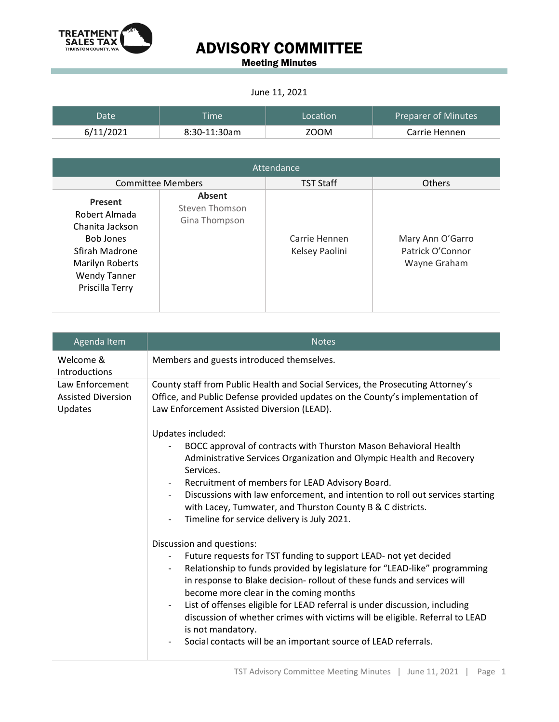

## ADVISORY COMMITTEE

Meeting Minutes

#### June 11, 2021

| Date      | <b>Time</b>  | Location | <b>Preparer of Minutes</b> |
|-----------|--------------|----------|----------------------------|
| 6/11/2021 | 8:30-11:30am | ZOOM     | Carrie Hennen              |

| Attendance                                                                                                                                            |                                                  |                                 |                                                      |  |
|-------------------------------------------------------------------------------------------------------------------------------------------------------|--------------------------------------------------|---------------------------------|------------------------------------------------------|--|
| <b>Committee Members</b>                                                                                                                              |                                                  | <b>TST Staff</b>                | <b>Others</b>                                        |  |
| <b>Present</b><br>Robert Almada<br>Chanita Jackson<br><b>Bob Jones</b><br>Sfirah Madrone<br>Marilyn Roberts<br><b>Wendy Tanner</b><br>Priscilla Terry | <b>Absent</b><br>Steven Thomson<br>Gina Thompson | Carrie Hennen<br>Kelsey Paolini | Mary Ann O'Garro<br>Patrick O'Connor<br>Wayne Graham |  |

| Agenda Item                                             | <b>Notes</b>                                                                                                                                                                                                                                                                                                                                                                                                                                                                                                                                                                                                 |
|---------------------------------------------------------|--------------------------------------------------------------------------------------------------------------------------------------------------------------------------------------------------------------------------------------------------------------------------------------------------------------------------------------------------------------------------------------------------------------------------------------------------------------------------------------------------------------------------------------------------------------------------------------------------------------|
| Welcome &<br>Introductions                              | Members and guests introduced themselves.                                                                                                                                                                                                                                                                                                                                                                                                                                                                                                                                                                    |
| Law Enforcement<br><b>Assisted Diversion</b><br>Updates | County staff from Public Health and Social Services, the Prosecuting Attorney's<br>Office, and Public Defense provided updates on the County's implementation of<br>Law Enforcement Assisted Diversion (LEAD).                                                                                                                                                                                                                                                                                                                                                                                               |
|                                                         | Updates included:<br>BOCC approval of contracts with Thurston Mason Behavioral Health<br>Administrative Services Organization and Olympic Health and Recovery<br>Services.<br>Recruitment of members for LEAD Advisory Board.<br>Discussions with law enforcement, and intention to roll out services starting<br>$\overline{\phantom{a}}$<br>with Lacey, Tumwater, and Thurston County B & C districts.<br>Timeline for service delivery is July 2021.<br>$\overline{\phantom{0}}$                                                                                                                          |
|                                                         | Discussion and questions:<br>Future requests for TST funding to support LEAD- not yet decided<br>Relationship to funds provided by legislature for "LEAD-like" programming<br>$\overline{\phantom{a}}$<br>in response to Blake decision- rollout of these funds and services will<br>become more clear in the coming months<br>List of offenses eligible for LEAD referral is under discussion, including<br>$\overline{\phantom{a}}$<br>discussion of whether crimes with victims will be eligible. Referral to LEAD<br>is not mandatory.<br>Social contacts will be an important source of LEAD referrals. |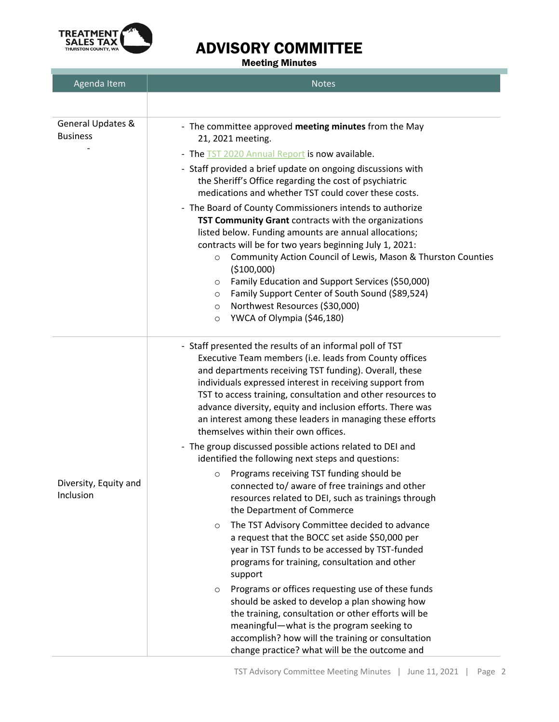

### ADVISORY COMMITTEE

Meeting Minutes

| Agenda Item                          | <b>Notes</b>                                                                                                                                                                                                                                                                                                                                                                                                                                                                                                                                                                                                                                                                                                                                                                                                                                                                                                                                                                                                                                                                                                                                                                                                                                                                                                                            |  |
|--------------------------------------|-----------------------------------------------------------------------------------------------------------------------------------------------------------------------------------------------------------------------------------------------------------------------------------------------------------------------------------------------------------------------------------------------------------------------------------------------------------------------------------------------------------------------------------------------------------------------------------------------------------------------------------------------------------------------------------------------------------------------------------------------------------------------------------------------------------------------------------------------------------------------------------------------------------------------------------------------------------------------------------------------------------------------------------------------------------------------------------------------------------------------------------------------------------------------------------------------------------------------------------------------------------------------------------------------------------------------------------------|--|
|                                      |                                                                                                                                                                                                                                                                                                                                                                                                                                                                                                                                                                                                                                                                                                                                                                                                                                                                                                                                                                                                                                                                                                                                                                                                                                                                                                                                         |  |
| General Updates &<br><b>Business</b> | - The committee approved meeting minutes from the May<br>21, 2021 meeting.<br>- The TST 2020 Annual Report is now available.<br>- Staff provided a brief update on ongoing discussions with<br>the Sheriff's Office regarding the cost of psychiatric<br>medications and whether TST could cover these costs.<br>- The Board of County Commissioners intends to authorize<br>TST Community Grant contracts with the organizations<br>listed below. Funding amounts are annual allocations;<br>contracts will be for two years beginning July 1, 2021:<br>Community Action Council of Lewis, Mason & Thurston Counties<br>$\circ$<br>(\$100,000)<br>Family Education and Support Services (\$50,000)<br>O<br>Family Support Center of South Sound (\$89,524)<br>$\circ$<br>Northwest Resources (\$30,000)<br>O<br>YWCA of Olympia (\$46,180)<br>O                                                                                                                                                                                                                                                                                                                                                                                                                                                                                        |  |
| Diversity, Equity and<br>Inclusion   | - Staff presented the results of an informal poll of TST<br>Executive Team members (i.e. leads from County offices<br>and departments receiving TST funding). Overall, these<br>individuals expressed interest in receiving support from<br>TST to access training, consultation and other resources to<br>advance diversity, equity and inclusion efforts. There was<br>an interest among these leaders in managing these efforts<br>themselves within their own offices.<br>- The group discussed possible actions related to DEI and<br>identified the following next steps and questions:<br>Programs receiving TST funding should be<br>O<br>connected to/ aware of free trainings and other<br>resources related to DEI, such as trainings through<br>the Department of Commerce<br>The TST Advisory Committee decided to advance<br>O<br>a request that the BOCC set aside \$50,000 per<br>year in TST funds to be accessed by TST-funded<br>programs for training, consultation and other<br>support<br>Programs or offices requesting use of these funds<br>$\circ$<br>should be asked to develop a plan showing how<br>the training, consultation or other efforts will be<br>meaningful-what is the program seeking to<br>accomplish? how will the training or consultation<br>change practice? what will be the outcome and |  |